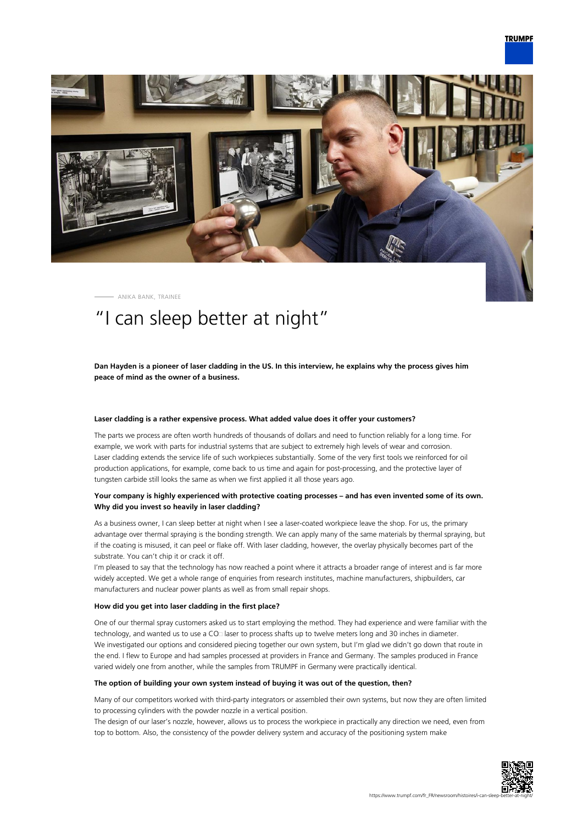

ANIKA BANK, TRAINEE

# "I can sleep better at night"

**Dan Hayden is a pioneer of laser cladding in the US. In this interview, he explains why the process gives him peace of mind as the owner of a business.**

#### **Laser cladding is a rather expensive process. What added value does it offer your customers?**

The parts we process are often worth hundreds of thousands of dollars and need to function reliably for a long time. For example, we work with parts for industrial systems that are subject to extremely high levels of wear and corrosion. Laser cladding extends the service life of such workpieces substantially. Some of the very first tools we reinforced for oil production applications, for example, come back to us time and again for post-processing, and the protective layer of tungsten carbide still looks the same as when we first applied it all those years ago.

## **Your company is highly experienced with protective coating processes – and has even invented some of its own. Why did you invest so heavily in laser cladding?**

As a business owner, I can sleep better at night when I see a laser-coated workpiece leave the shop. For us, the primary advantage over thermal spraying is the bonding strength. We can apply many of the same materials by thermal spraying, but if the coating is misused, it can peel or flake off. With laser cladding, however, the overlay physically becomes part of the substrate. You can't chip it or crack it off.

I'm pleased to say that the technology has now reached a point where it attracts a broader range of interest and is far more widely accepted. We get a whole range of enquiries from research institutes, machine manufacturers, shipbuilders, car manufacturers and nuclear power plants as well as from small repair shops.

#### **How did you get into laser cladding in the first place?**

One of our thermal spray customers asked us to start employing the method. They had experience and were familiar with the technology, and wanted us to use a CO

alser to process shafts up to twelve meters long and 30 inches in diameter. We investigated our options and considered piecing together our own system, but I'm glad we didn't go down that route in the end. I flew to Europe and had samples processed at providers in France and Germany. The samples produced in France varied widely one from another, while the samples from TRUMPF in Germany were practically identical.

#### **The option of building your own system instead of buying it was out of the question, then?**

Many of our competitors worked with third-party integrators or assembled their own systems, but now they are often limited to processing cylinders with the powder nozzle in a vertical position.

The design of our laser's nozzle, however, allows us to process the workpiece in practically any direction we need, even from top to bottom. Also, the consistency of the powder delivery system and accuracy of the positioning system make

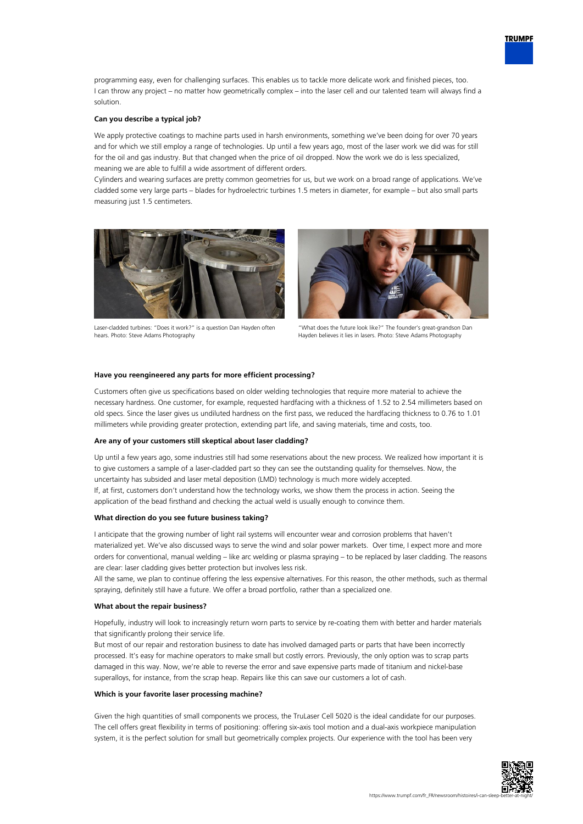

programming easy, even for challenging surfaces. This enables us to tackle more delicate work and finished pieces, too. I can throw any project – no matter how geometrically complex – into the laser cell and our talented team will always find a solution.

## **Can you describe a typical job?**

We apply protective coatings to machine parts used in harsh environments, something we've been doing for over 70 years and for which we still employ a range of technologies. Up until a few years ago, most of the laser work we did was for still for the oil and gas industry. But that changed when the price of oil dropped. Now the work we do is less specialized, meaning we are able to fulfill a wide assortment of different orders.

Cylinders and wearing surfaces are pretty common geometries for us, but we work on a broad range of applications. We've cladded some very large parts – blades for hydroelectric turbines 1.5 meters in diameter, for example – but also small parts measuring just 1.5 centimeters.



Laser-cladded turbines: "Does it work?" is a question Dan Hayden often hears. Photo: Steve Adams Photography



"What does the future look like?" The founder's great-grandson Dan Hayden believes it lies in lasers. Photo: Steve Adams Photography

#### **Have you reengineered any parts for more efficient processing?**

Customers often give us specifications based on older welding technologies that require more material to achieve the necessary hardness. One customer, for example, requested hardfacing with a thickness of 1.52 to 2.54 millimeters based on old specs. Since the laser gives us undiluted hardness on the first pass, we reduced the hardfacing thickness to 0.76 to 1.01 millimeters while providing greater protection, extending part life, and saving materials, time and costs, too.

#### **Are any of your customers still skeptical about laser cladding?**

Up until a few years ago, some industries still had some reservations about the new process. We realized how important it is to give customers a sample of a laser-cladded part so they can see the outstanding quality for themselves. Now, the uncertainty has subsided and laser metal deposition (LMD) technology is much more widely accepted. If, at first, customers don't understand how the technology works, we show them the process in action. Seeing the application of the bead firsthand and checking the actual weld is usually enough to convince them.

## **What direction do you see future business taking?**

I anticipate that the growing number of light rail systems will encounter wear and corrosion problems that haven't materialized yet. We've also discussed ways to serve the wind and solar power markets. Over time, I expect more and more orders for conventional, manual welding – like arc welding or plasma spraying – to be replaced by laser cladding. The reasons are clear: laser cladding gives better protection but involves less risk.

All the same, we plan to continue offering the less expensive alternatives. For this reason, the other methods, such as thermal spraying, definitely still have a future. We offer a broad portfolio, rather than a specialized one.

#### **What about the repair business?**

Hopefully, industry will look to increasingly return worn parts to service by re-coating them with better and harder materials that significantly prolong their service life.

But most of our repair and restoration business to date has involved damaged parts or parts that have been incorrectly processed. It's easy for machine operators to make small but costly errors. Previously, the only option was to scrap parts damaged in this way. Now, we're able to reverse the error and save expensive parts made of titanium and nickel-base superalloys, for instance, from the scrap heap. Repairs like this can save our customers a lot of cash.

#### **Which is your favorite laser processing machine?**

Given the high quantities of small components we process, the TruLaser Cell 5020 is the ideal candidate for our purposes. The cell offers great flexibility in terms of positioning: offering six-axis tool motion and a dual-axis workpiece manipulation system, it is the perfect solution for small but geometrically complex projects. Our experience with the tool has been very